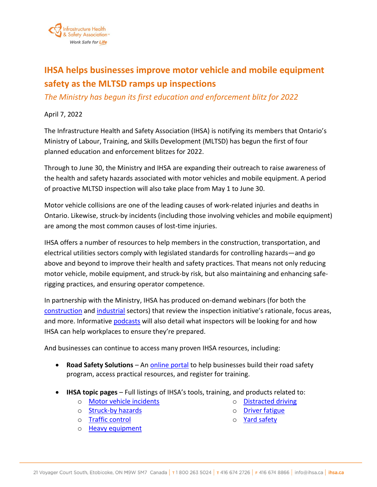

## **IHSA helps businesses improve motor vehicle and mobile equipment safety as the MLTSD ramps up inspections**

*The Ministry has begun its first education and enforcement blitz for 2022*

## April 7, 2022

The Infrastructure Health and Safety Association (IHSA) is notifying its members that Ontario's Ministry of Labour, Training, and Skills Development (MLTSD) has begun the first of four planned education and enforcement blitzes for 2022.

Through to June 30, the Ministry and IHSA are expanding their outreach to raise awareness of the health and safety hazards associated with motor vehicles and mobile equipment. A period of proactive MLTSD inspection will also take place from May 1 to June 30.

Motor vehicle collisions are one of the leading causes of work-related injuries and deaths in Ontario. Likewise, struck-by incidents (including those involving vehicles and mobile equipment) are among the most common causes of lost-time injuries.

IHSA offers a number of resources to help members in the construction, transportation, and electrical utilities sectors comply with legislated standards for controlling hazards—and go above and beyond to improve their health and safety practices. That means not only reducing motor vehicle, mobile equipment, and struck-by risk, but also maintaining and enhancing saferigging practices, and ensuring operator competence.

In partnership with the Ministry, IHSA has produced on-demand webinars (for both the [construction](https://register.gotowebinar.com/register/48517472594318603) and [industrial](https://attendee.gotowebinar.com/register/2142615432564998928) sectors) that review the inspection initiative's rationale, focus areas, and more. Informative **podcasts** will also detail what inspectors will be looking for and how IHSA can help workplaces to ensure they're prepared.

And businesses can continue to access many proven IHSA resources, including:

- **Road Safety Solutions** An [online portal](https://www.ihsa.ca/roadsafetysolutions) to help businesses build their road safety program, access practical resources, and register for training.
- **IHSA topic pages** Full listings of IHSA's tools, training, and products related to:
	- o [Motor vehicle incidents](https://www.ihsa.ca/topics_hazards/motor_vehicle_incidents.aspx)
	- o [Struck-by hazards](https://www.ihsa.ca/topics_hazards/struck_bys)
	- o [Traffic control](https://www.ihsa.ca/topics_hazards/traffic_control.aspx)
	- o [Heavy equipment](https://www.ihsa.ca/topics_hazards/heavy_equipment.aspx)
- o [Distracted driving](https://www.ihsa.ca/Topics-Hazards/Distracted-Driving.aspx)
- o [Driver fatigue](https://www.ihsa.ca/Road-Safety-Solutions/Tool-Kit-Resources/10-Driver-Fatigue.aspx)
- o [Yard safety](https://www.ihsa.ca/Road-Safety-Solutions/Tool-Kit-Resources/20-Yard-Safety.aspx)